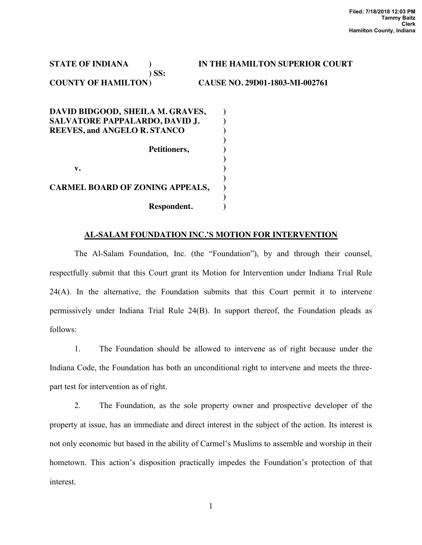**STATE OF INDIANA ) IN THE HAMILTON SUPERIOR COURT ) SS: COUNTY OF HAMILTON ) CAUSE NO. 29D01-1803-MI-002761 DAVID BIDGOOD, SHEILA M. GRAVES, ) SALVATORE PAPPALARDO, DAVID J. ) REEVES, and ANGELO R. STANCO ) )**  Petitioners,  $\qquad)$  **)** 

**v.**  $\qquad \qquad$  **)** 

| <b>CARMEL BOARD OF ZONING APPEALS,</b> |  |
|----------------------------------------|--|
|                                        |  |
| Respondent.                            |  |

# **AL-SALAM FOUNDATION INC.'S MOTION FOR INTERVENTION**

 The Al-Salam Foundation, Inc. (the "Foundation"), by and through their counsel, respectfully submit that this Court grant its Motion for Intervention under Indiana Trial Rule 24(A). In the alternative, the Foundation submits that this Court permit it to intervene permissively under Indiana Trial Rule 24(B). In support thereof, the Foundation pleads as follows:

1. The Foundation should be allowed to intervene as of right because under the Indiana Code, the Foundation has both an unconditional right to intervene and meets the threepart test for intervention as of right.

2. The Foundation, as the sole property owner and prospective developer of the property at issue, has an immediate and direct interest in the subject of the action. Its interest is not only economic but based in the ability of Carmel's Muslims to assemble and worship in their hometown. This action's disposition practically impedes the Foundation's protection of that interest.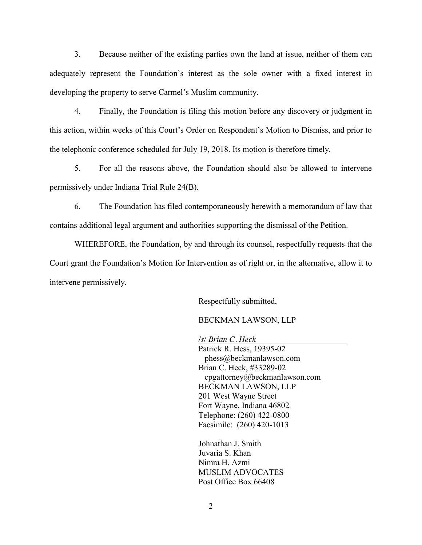3. Because neither of the existing parties own the land at issue, neither of them can adequately represent the Foundation's interest as the sole owner with a fixed interest in developing the property to serve Carmel's Muslim community.

4. Finally, the Foundation is filing this motion before any discovery or judgment in this action, within weeks of this Court's Order on Respondent's Motion to Dismiss, and prior to the telephonic conference scheduled for July 19, 2018. Its motion is therefore timely.

5. For all the reasons above, the Foundation should also be allowed to intervene permissively under Indiana Trial Rule 24(B).

6. The Foundation has filed contemporaneously herewith a memorandum of law that contains additional legal argument and authorities supporting the dismissal of the Petition.

WHEREFORE, the Foundation, by and through its counsel, respectfully requests that the Court grant the Foundation's Motion for Intervention as of right or, in the alternative, allow it to intervene permissively.

Respectfully submitted,

BECKMAN LAWSON, LLP

*/s/ Brian C. Heck* Patrick R. Hess, 19395-02 phess@beckmanlawson.com Brian C. Heck, #33289-02 [cpgattorney@beckmanlawson.com](mailto:cpgattorney@beckmanlawson.com) BECKMAN LAWSON, LLP 201 West Wayne Street Fort Wayne, Indiana 46802 Telephone: (260) 422-0800 Facsimile: (260) 420-1013

Johnathan J. Smith Juvaria S. Khan Nimra H. Azmi MUSLIM ADVOCATES Post Office Box 66408

2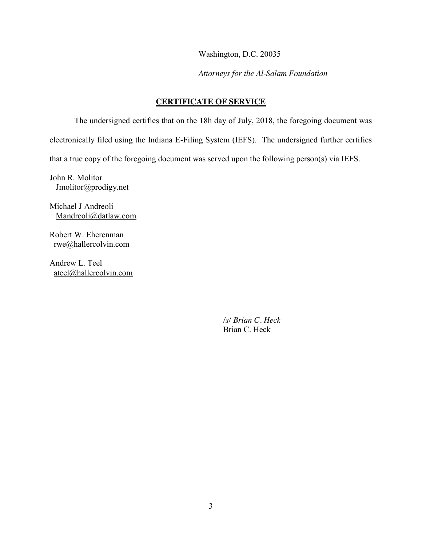Washington, D.C. 20035

*Attorneys for the Al-Salam Foundation*

# **CERTIFICATE OF SERVICE**

The undersigned certifies that on the 18h day of July, 2018, the foregoing document was electronically filed using the Indiana E-Filing System (IEFS). The undersigned further certifies that a true copy of the foregoing document was served upon the following person(s) via IEFS.

John R. Molitor [Jmolitor@prodigy.net](mailto:Jmolitor@prodigy.net)

Michael J Andreoli [Mandreoli@datlaw.com](mailto:Mandreoli@datlaw.com)

Robert W. Eherenman [rwe@hallercolvin.com](mailto:rwe@hallercolvin.com)

Andrew L. Teel [ateel@hallercolvin.com](mailto:ateel@hallercolvin.com)

> */s/ Brian C. Heck* Brian C. Heck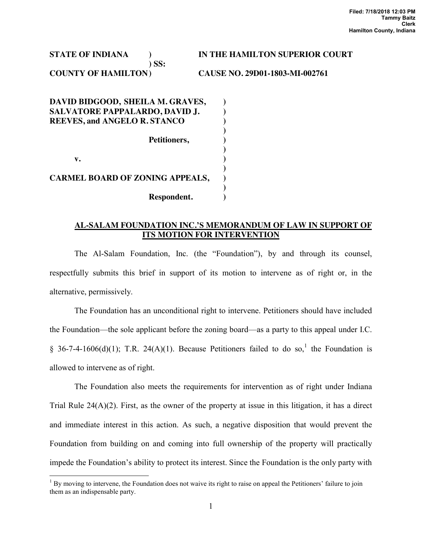**STATE OF INDIANA ) IN THE HAMILTON SUPERIOR COURT ) SS: COUNTY OF HAMILTON ) CAUSE NO. 29D01-1803-MI-002761** 

**DAVID BIDGOOD, SHEILA M. GRAVES, ) SALVATORE PAPPALARDO, DAVID J. ) REEVES, and ANGELO R. STANCO ) )**  Petitioners,  $\qquad \qquad$  )  **) v.**  $\qquad \qquad$  **) ) CARMEL BOARD OF ZONING APPEALS, ) ) Respondent. )** 

## **AL-SALAM FOUNDATION INC.'S MEMORANDUM OF LAW IN SUPPORT OF ITS MOTION FOR INTERVENTION**

The Al-Salam Foundation, Inc. (the "Foundation"), by and through its counsel, respectfully submits this brief in support of its motion to intervene as of right or, in the alternative, permissively.

The Foundation has an unconditional right to intervene. Petitioners should have included the Foundation—the sole applicant before the zoning board—as a party to this appeal under I.C. § 36-7-4-1606(d)(1); T.R. 24(A)(1). Because Petitioners failed to do so,<sup>1</sup> the Foundation is allowed to intervene as of right.

The Foundation also meets the requirements for intervention as of right under Indiana Trial Rule  $24(A)(2)$ . First, as the owner of the property at issue in this litigation, it has a direct and immediate interest in this action. As such, a negative disposition that would prevent the Foundation from building on and coming into full ownership of the property will practically impede the Foundation's ability to protect its interest. Since the Foundation is the only party with

<sup>&</sup>lt;sup>1</sup> By moving to intervene, the Foundation does not waive its right to raise on appeal the Petitioners' failure to join them as an indispensable party.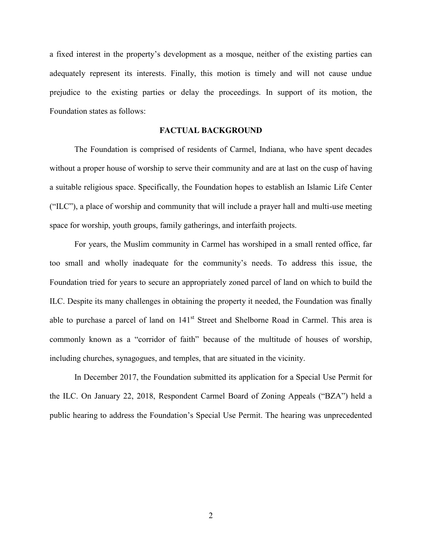a fixed interest in the property's development as a mosque, neither of the existing parties can adequately represent its interests. Finally, this motion is timely and will not cause undue prejudice to the existing parties or delay the proceedings. In support of its motion, the Foundation states as follows:

## **FACTUAL BACKGROUND**

The Foundation is comprised of residents of Carmel, Indiana, who have spent decades without a proper house of worship to serve their community and are at last on the cusp of having a suitable religious space. Specifically, the Foundation hopes to establish an Islamic Life Center ("ILC"), a place of worship and community that will include a prayer hall and multi-use meeting space for worship, youth groups, family gatherings, and interfaith projects.

For years, the Muslim community in Carmel has worshiped in a small rented office, far too small and wholly inadequate for the community's needs. To address this issue, the Foundation tried for years to secure an appropriately zoned parcel of land on which to build the ILC. Despite its many challenges in obtaining the property it needed, the Foundation was finally able to purchase a parcel of land on 141<sup>st</sup> Street and Shelborne Road in Carmel. This area is commonly known as a "corridor of faith" because of the multitude of houses of worship, including churches, synagogues, and temples, that are situated in the vicinity.

In December 2017, the Foundation submitted its application for a Special Use Permit for the ILC. On January 22, 2018, Respondent Carmel Board of Zoning Appeals ("BZA") held a public hearing to address the Foundation's Special Use Permit. The hearing was unprecedented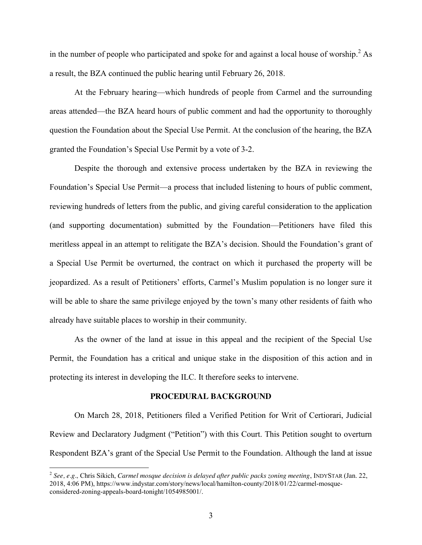in the number of people who participated and spoke for and against a local house of worship.<sup>2</sup> As a result, the BZA continued the public hearing until February 26, 2018.

At the February hearing—which hundreds of people from Carmel and the surrounding areas attended—the BZA heard hours of public comment and had the opportunity to thoroughly question the Foundation about the Special Use Permit. At the conclusion of the hearing, the BZA granted the Foundation's Special Use Permit by a vote of 3-2.

Despite the thorough and extensive process undertaken by the BZA in reviewing the Foundation's Special Use Permit—a process that included listening to hours of public comment, reviewing hundreds of letters from the public, and giving careful consideration to the application (and supporting documentation) submitted by the Foundation—Petitioners have filed this meritless appeal in an attempt to relitigate the BZA's decision. Should the Foundation's grant of a Special Use Permit be overturned, the contract on which it purchased the property will be jeopardized. As a result of Petitioners' efforts, Carmel's Muslim population is no longer sure it will be able to share the same privilege enjoyed by the town's many other residents of faith who already have suitable places to worship in their community.

As the owner of the land at issue in this appeal and the recipient of the Special Use Permit, the Foundation has a critical and unique stake in the disposition of this action and in protecting its interest in developing the ILC. It therefore seeks to intervene.

#### **PROCEDURAL BACKGROUND**

On March 28, 2018, Petitioners filed a Verified Petition for Writ of Certiorari, Judicial Review and Declaratory Judgment ("Petition") with this Court. This Petition sought to overturn Respondent BZA's grant of the Special Use Permit to the Foundation. Although the land at issue

 <sup>2</sup> *See, e.g.,* Chris Sikich, *Carmel mosque decision is delayed after public packs zoning meeting*, INDYSTAR (Jan. 22, 2018, 4:06 PM), https://www.indystar.com/story/news/local/hamilton-county/2018/01/22/carmel-mosqueconsidered-zoning-appeals-board-tonight/1054985001/.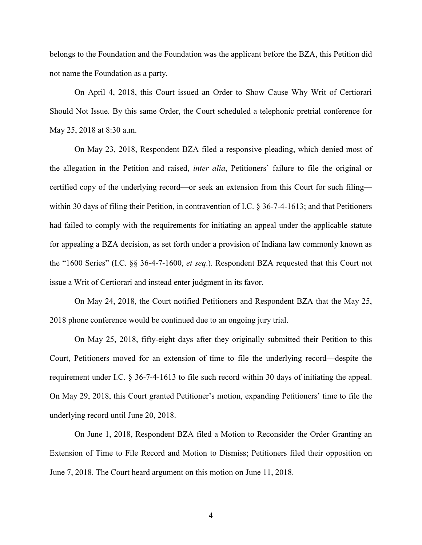belongs to the Foundation and the Foundation was the applicant before the BZA, this Petition did not name the Foundation as a party.

On April 4, 2018, this Court issued an Order to Show Cause Why Writ of Certiorari Should Not Issue. By this same Order, the Court scheduled a telephonic pretrial conference for May 25, 2018 at 8:30 a.m.

On May 23, 2018, Respondent BZA filed a responsive pleading, which denied most of the allegation in the Petition and raised, *inter alia*, Petitioners' failure to file the original or certified copy of the underlying record—or seek an extension from this Court for such filing within 30 days of filing their Petition, in contravention of I.C. § 36-7-4-1613; and that Petitioners had failed to comply with the requirements for initiating an appeal under the applicable statute for appealing a BZA decision, as set forth under a provision of Indiana law commonly known as the "1600 Series" (I.C. §§ 36-4-7-1600, *et seq*.). Respondent BZA requested that this Court not issue a Writ of Certiorari and instead enter judgment in its favor.

On May 24, 2018, the Court notified Petitioners and Respondent BZA that the May 25, 2018 phone conference would be continued due to an ongoing jury trial.

On May 25, 2018, fifty-eight days after they originally submitted their Petition to this Court, Petitioners moved for an extension of time to file the underlying record—despite the requirement under I.C. § 36-7-4-1613 to file such record within 30 days of initiating the appeal. On May 29, 2018, this Court granted Petitioner's motion, expanding Petitioners' time to file the underlying record until June 20, 2018.

On June 1, 2018, Respondent BZA filed a Motion to Reconsider the Order Granting an Extension of Time to File Record and Motion to Dismiss; Petitioners filed their opposition on June 7, 2018. The Court heard argument on this motion on June 11, 2018.

4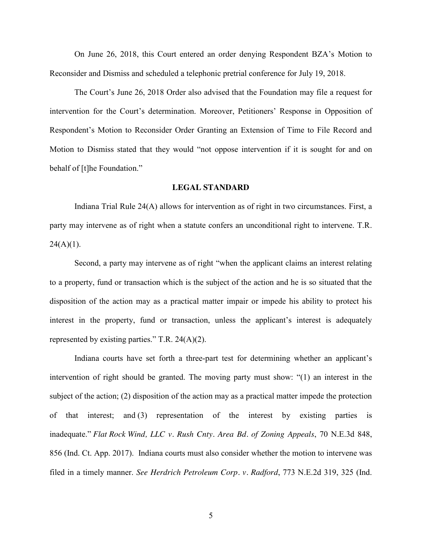On June 26, 2018, this Court entered an order denying Respondent BZA's Motion to Reconsider and Dismiss and scheduled a telephonic pretrial conference for July 19, 2018.

The Court's June 26, 2018 Order also advised that the Foundation may file a request for intervention for the Court's determination. Moreover, Petitioners' Response in Opposition of Respondent's Motion to Reconsider Order Granting an Extension of Time to File Record and Motion to Dismiss stated that they would "not oppose intervention if it is sought for and on behalf of [t]he Foundation."

### **LEGAL STANDARD**

Indiana Trial Rule 24(A) allows for intervention as of right in two circumstances. First, a party may intervene as of right when a statute confers an unconditional right to intervene. T.R.  $24(A)(1)$ .

Second, a party may intervene as of right "when the applicant claims an interest relating to a property, fund or transaction which is the subject of the action and he is so situated that the disposition of the action may as a practical matter impair or impede his ability to protect his interest in the property, fund or transaction, unless the applicant's interest is adequately represented by existing parties." T.R. 24(A)(2).

Indiana courts have set forth a three-part test for determining whether an applicant's intervention of right should be granted. The moving party must show: "(1) an interest in the subject of the action; (2) disposition of the action may as a practical matter impede the protection of that interest; and (3) representation of the interest by existing parties is inadequate." *Flat Rock Wind, LLC v. Rush Cnty. Area Bd. of Zoning Appeals*, 70 N.E.3d 848, 856 (Ind. Ct. App. 2017). Indiana courts must also consider whether the motion to intervene was filed in a timely manner. *See Herdrich Petroleum Corp. v. Radford*, 773 N.E.2d 319, 325 (Ind.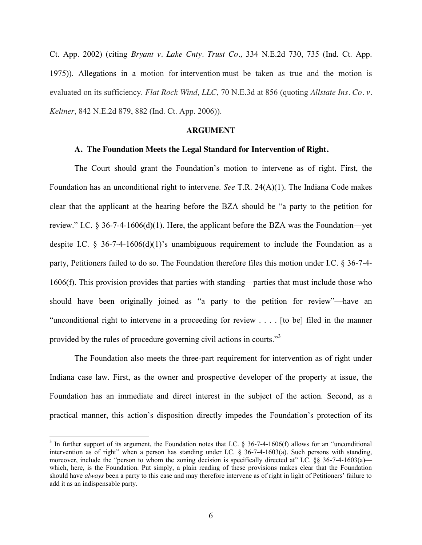Ct. App. 2002) (citing *Bryant v. Lake Cnty. Trust Co.,* 334 N.E.2d 730, 735 (Ind. Ct. App. 1975)). Allegations in a motion for intervention must be taken as true and the motion is evaluated on its sufficiency. *Flat Rock Wind, LLC*, 70 N.E.3d at 856 (quoting *Allstate Ins. Co. v. Keltner*, 842 N.E.2d 879, 882 (Ind. Ct. App. 2006)).

### **ARGUMENT**

#### **A. The Foundation Meets the Legal Standard for Intervention of Right.**

The Court should grant the Foundation's motion to intervene as of right. First, the Foundation has an unconditional right to intervene. *See* T.R. 24(A)(1). The Indiana Code makes clear that the applicant at the hearing before the BZA should be "a party to the petition for review." I.C. § 36-7-4-1606(d)(1). Here, the applicant before the BZA was the Foundation—yet despite I.C. § 36-7-4-1606(d)(1)'s unambiguous requirement to include the Foundation as a party, Petitioners failed to do so. The Foundation therefore files this motion under I.C. § 36-7-4- 1606(f). This provision provides that parties with standing—parties that must include those who should have been originally joined as "a party to the petition for review"—have an "unconditional right to intervene in a proceeding for review . . . . [to be] filed in the manner provided by the rules of procedure governing civil actions in courts."<sup>3</sup>

The Foundation also meets the three-part requirement for intervention as of right under Indiana case law. First, as the owner and prospective developer of the property at issue, the Foundation has an immediate and direct interest in the subject of the action. Second, as a practical manner, this action's disposition directly impedes the Foundation's protection of its

 $3$  In further support of its argument, the Foundation notes that I.C. § 36-7-4-1606(f) allows for an "unconditional intervention as of right" when a person has standing under I.C.  $\frac{8}{36}$ -7-4-1603(a). Such persons with standing, moreover, include the "person to whom the zoning decision is specifically directed at" I.C. §§ 36-7-4-1603(a) which, here, is the Foundation. Put simply, a plain reading of these provisions makes clear that the Foundation should have *always* been a party to this case and may therefore intervene as of right in light of Petitioners' failure to add it as an indispensable party.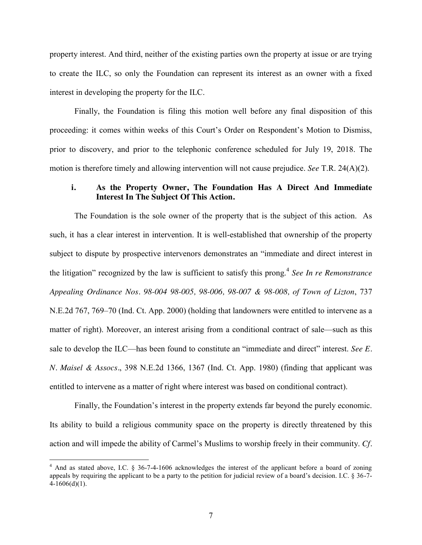property interest. And third, neither of the existing parties own the property at issue or are trying to create the ILC, so only the Foundation can represent its interest as an owner with a fixed interest in developing the property for the ILC.

Finally, the Foundation is filing this motion well before any final disposition of this proceeding: it comes within weeks of this Court's Order on Respondent's Motion to Dismiss, prior to discovery, and prior to the telephonic conference scheduled for July 19, 2018. The motion is therefore timely and allowing intervention will not cause prejudice. *See* T.R. 24(A)(2).

### **i. As the Property Owner, The Foundation Has A Direct And Immediate Interest In The Subject Of This Action.**

The Foundation is the sole owner of the property that is the subject of this action. As such, it has a clear interest in intervention. It is well-established that ownership of the property subject to dispute by prospective intervenors demonstrates an "immediate and direct interest in the litigation" recognized by the law is sufficient to satisfy this prong.<sup>4</sup> *See In re Remonstrance Appealing Ordinance Nos. 98-004 98-005, 98-006, 98-007 & 98-008, of Town of Lizton*, 737 N.E.2d 767, 769–70 (Ind. Ct. App. 2000) (holding that landowners were entitled to intervene as a matter of right). Moreover, an interest arising from a conditional contract of sale—such as this sale to develop the ILC—has been found to constitute an "immediate and direct" interest. *See E. N. Maisel & Assocs.*, 398 N.E.2d 1366, 1367 (Ind. Ct. App. 1980) (finding that applicant was entitled to intervene as a matter of right where interest was based on conditional contract).

Finally, the Foundation's interest in the property extends far beyond the purely economic. Its ability to build a religious community space on the property is directly threatened by this action and will impede the ability of Carmel's Muslims to worship freely in their community. *Cf.*

<sup>&</sup>lt;sup>4</sup> And as stated above, I.C. § 36-7-4-1606 acknowledges the interest of the applicant before a board of zoning appeals by requiring the applicant to be a party to the petition for judicial review of a board's decision. I.C.  $\S 36-7-$ 4-1606(d)(1).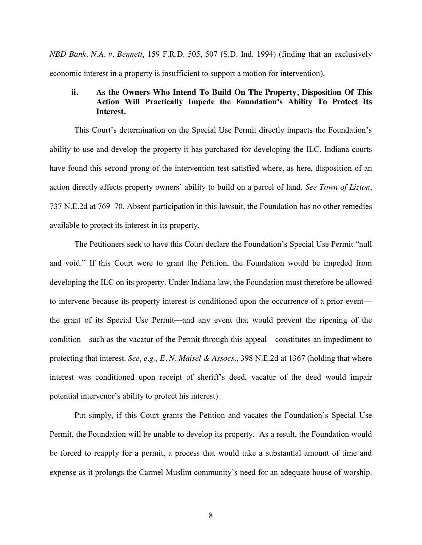*NBD Bank, N.A. v. Bennett*, 159 F.R.D. 505, 507 (S.D. Ind. 1994) (finding that an exclusively economic interest in a property is insufficient to support a motion for intervention).

## **ii. As the Owners Who Intend To Build On The Property, Disposition Of This Action Will Practically Impede the Foundation's Ability To Protect Its Interest.**

This Court's determination on the Special Use Permit directly impacts the Foundation's ability to use and develop the property it has purchased for developing the ILC. Indiana courts have found this second prong of the intervention test satisfied where, as here, disposition of an action directly affects property owners' ability to build on a parcel of land. *See Town of Lizton*, 737 N.E.2d at 769–70. Absent participation in this lawsuit, the Foundation has no other remedies available to protect its interest in its property.

The Petitioners seek to have this Court declare the Foundation's Special Use Permit "null and void." If this Court were to grant the Petition, the Foundation would be impeded from developing the ILC on its property. Under Indiana law, the Foundation must therefore be allowed to intervene because its property interest is conditioned upon the occurrence of a prior event the grant of its Special Use Permit—and any event that would prevent the ripening of the condition—such as the vacatur of the Permit through this appeal—constitutes an impediment to protecting that interest. *See, e.g., E. N. Maisel & Assocs.*, 398 N.E.2d at 1367 (holding that where interest was conditioned upon receipt of sheriff's deed, vacatur of the deed would impair potential intervenor's ability to protect his interest).

Put simply, if this Court grants the Petition and vacates the Foundation's Special Use Permit, the Foundation will be unable to develop its property. As a result, the Foundation would be forced to reapply for a permit, a process that would take a substantial amount of time and expense as it prolongs the Carmel Muslim community's need for an adequate house of worship.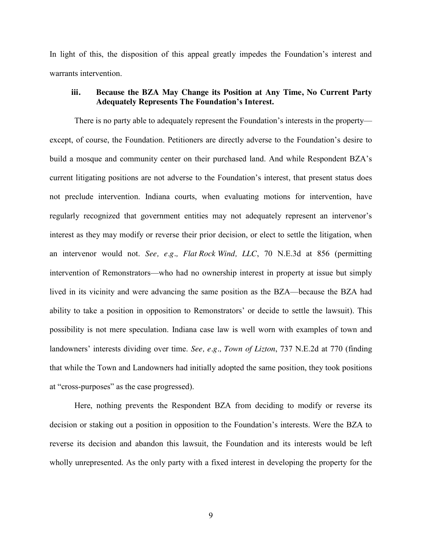In light of this, the disposition of this appeal greatly impedes the Foundation's interest and warrants intervention.

# **iii. Because the BZA May Change its Position at Any Time, No Current Party Adequately Represents The Foundation's Interest.**

There is no party able to adequately represent the Foundation's interests in the property except, of course, the Foundation. Petitioners are directly adverse to the Foundation's desire to build a mosque and community center on their purchased land. And while Respondent BZA's current litigating positions are not adverse to the Foundation's interest, that present status does not preclude intervention. Indiana courts, when evaluating motions for intervention, have regularly recognized that government entities may not adequately represent an intervenor's interest as they may modify or reverse their prior decision, or elect to settle the litigation, when an intervenor would not. *See, e.g., Flat Rock Wind, LLC*, 70 N.E.3d at 856 (permitting intervention of Remonstrators—who had no ownership interest in property at issue but simply lived in its vicinity and were advancing the same position as the BZA—because the BZA had ability to take a position in opposition to Remonstrators' or decide to settle the lawsuit). This possibility is not mere speculation. Indiana case law is well worn with examples of town and landowners' interests dividing over time. *See, e.g., Town of Lizton*, 737 N.E.2d at 770 (finding that while the Town and Landowners had initially adopted the same position, they took positions at "cross-purposes" as the case progressed).

Here, nothing prevents the Respondent BZA from deciding to modify or reverse its decision or staking out a position in opposition to the Foundation's interests. Were the BZA to reverse its decision and abandon this lawsuit, the Foundation and its interests would be left wholly unrepresented. As the only party with a fixed interest in developing the property for the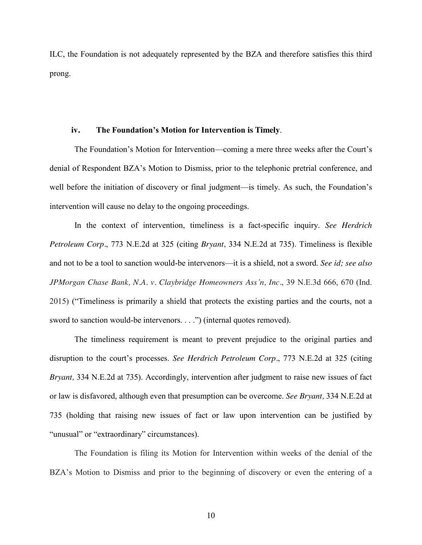ILC, the Foundation is not adequately represented by the BZA and therefore satisfies this third prong.

#### **iv. The Foundation's Motion for Intervention is Timely**.

The Foundation's Motion for Intervention—coming a mere three weeks after the Court's denial of Respondent BZA's Motion to Dismiss, prior to the telephonic pretrial conference, and well before the initiation of discovery or final judgment—is timely. As such, the Foundation's intervention will cause no delay to the ongoing proceedings.

In the context of intervention, timeliness is a fact-specific inquiry. *See Herdrich Petroleum Corp.*, 773 N.E.2d at 325 (citing *Bryant,* 334 N.E.2d at 735). Timeliness is flexible and not to be a tool to sanction would-be intervenors—it is a shield, not a sword. *See id; see also JPMorgan Chase Bank, N.A. v. Claybridge Homeowners Ass'n, Inc.*, 39 N.E.3d 666, 670 (Ind. 2015) ("Timeliness is primarily a shield that protects the existing parties and the courts, not a sword to sanction would-be intervenors. . . .") (internal quotes removed).

The timeliness requirement is meant to prevent prejudice to the original parties and disruption to the court's processes. *See Herdrich Petroleum Corp.*, 773 N.E.2d at 325 (citing *Bryant,* 334 N.E.2d at 735). Accordingly, intervention after judgment to raise new issues of fact or law is disfavored, although even that presumption can be overcome. *See Bryant,* 334 N.E.2d at 735 (holding that raising new issues of fact or law upon intervention can be justified by "unusual" or "extraordinary" circumstances).

The Foundation is filing its Motion for Intervention within weeks of the denial of the BZA's Motion to Dismiss and prior to the beginning of discovery or even the entering of a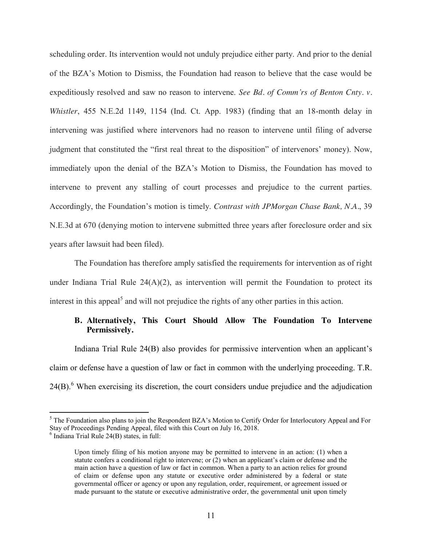scheduling order. Its intervention would not unduly prejudice either party. And prior to the denial of the BZA's Motion to Dismiss, the Foundation had reason to believe that the case would be expeditiously resolved and saw no reason to intervene. *See Bd. of Comm'rs of Benton Cnty. v. Whistler*, 455 N.E.2d 1149, 1154 (Ind. Ct. App. 1983) (finding that an 18-month delay in intervening was justified where intervenors had no reason to intervene until filing of adverse judgment that constituted the "first real threat to the disposition" of intervenors' money). Now, immediately upon the denial of the BZA's Motion to Dismiss, the Foundation has moved to intervene to prevent any stalling of court processes and prejudice to the current parties. Accordingly, the Foundation's motion is timely. *Contrast with JPMorgan Chase Bank, N.A.*, 39 N.E.3d at 670 (denying motion to intervene submitted three years after foreclosure order and six years after lawsuit had been filed).

The Foundation has therefore amply satisfied the requirements for intervention as of right under Indiana Trial Rule  $24(A)(2)$ , as intervention will permit the Foundation to protect its interest in this appeal<sup>5</sup> and will not prejudice the rights of any other parties in this action.

## **B. Alternatively, This Court Should Allow The Foundation To Intervene Permissively.**

Indiana Trial Rule 24(B) also provides for permissive intervention when an applicant's claim or defense have a question of law or fact in common with the underlying proceeding. T.R.  $24(B)$ <sup>6</sup>. When exercising its discretion, the court considers undue prejudice and the adjudication

<sup>&</sup>lt;sup>5</sup> The Foundation also plans to join the Respondent BZA's Motion to Certify Order for Interlocutory Appeal and For Stay of Proceedings Pending Appeal, filed with this Court on July 16, 2018.<br><sup>6</sup> Indiana Trial Rule 24(B) states, in full:

Upon timely filing of his motion anyone may be permitted to intervene in an action: (1) when a statute confers a conditional right to intervene; or (2) when an applicant's claim or defense and the main action have a question of law or fact in common. When a party to an action relies for ground of claim or defense upon any statute or executive order administered by a federal or state governmental officer or agency or upon any regulation, order, requirement, or agreement issued or made pursuant to the statute or executive administrative order, the governmental unit upon timely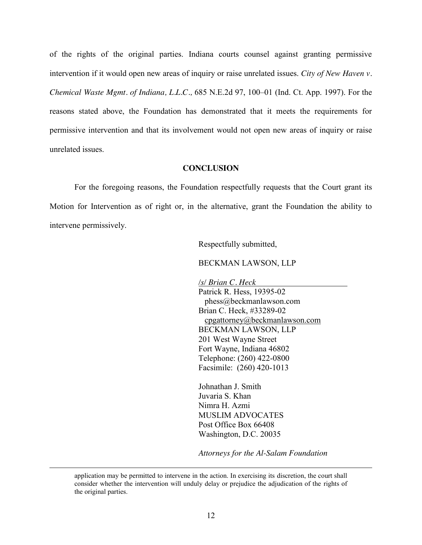of the rights of the original parties. Indiana courts counsel against granting permissive intervention if it would open new areas of inquiry or raise unrelated issues. *City of New Haven v. Chemical Waste Mgmt. of Indiana, L.L.C.,* 685 N.E.2d 97, 100–01 (Ind. Ct. App. 1997). For the reasons stated above, the Foundation has demonstrated that it meets the requirements for permissive intervention and that its involvement would not open new areas of inquiry or raise unrelated issues.

### **CONCLUSION**

For the foregoing reasons, the Foundation respectfully requests that the Court grant its Motion for Intervention as of right or, in the alternative, grant the Foundation the ability to intervene permissively.

Respectfully submitted,

BECKMAN LAWSON, LLP

*/s/ Brian C. Heck*

Patrick R. Hess, 19395-02 phess@beckmanlawson.com Brian C. Heck, #33289-02 [cpgattorney@beckmanlawson.com](mailto:cpgattorney@beckmanlawson.com) BECKMAN LAWSON, LLP 201 West Wayne Street Fort Wayne, Indiana 46802 Telephone: (260) 422-0800 Facsimile: (260) 420-1013

Johnathan J. Smith Juvaria S. Khan Nimra H. Azmi MUSLIM ADVOCATES Post Office Box 66408 Washington, D.C. 20035

*Attorneys for the Al-Salam Foundation*

application may be permitted to intervene in the action. In exercising its discretion, the court shall consider whether the intervention will unduly delay or prejudice the adjudication of the rights of the original parties.